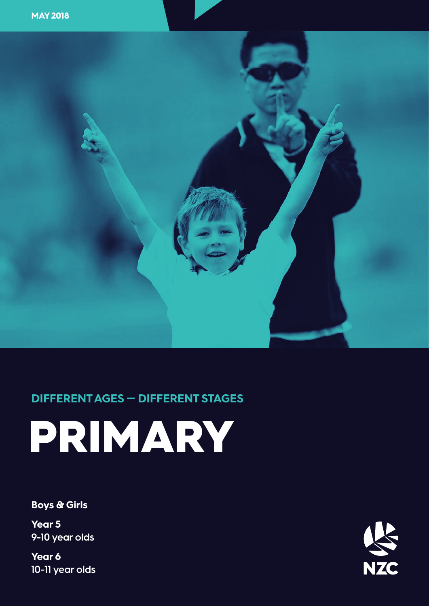

### **DIFFERENT AGES — DIFFERENT STAGES**

PRIMARY

**Boys & Girls**

**Year 5 9-10 year olds**

**Year 6 10-11 year olds**

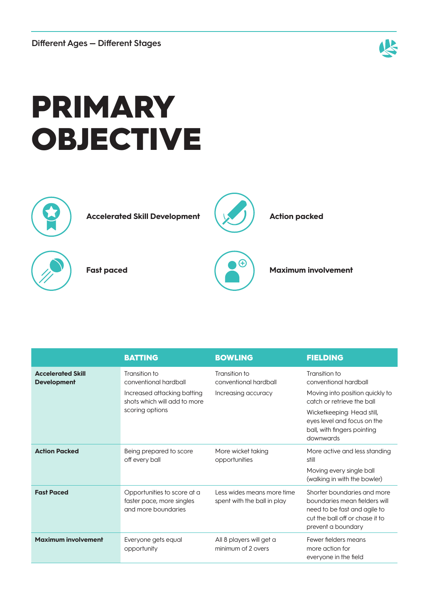## 咚

# PRIMARY **OBJECTIVE**



**Accelerated Skill Development Action packed** 







**Fast paced Maximum involvement** 

|                                                | <b>BATTING</b>                                                                                                           | <b>BOWLING</b>                                                | <b>FIELDING</b>                                                                                                                                                                                                  |
|------------------------------------------------|--------------------------------------------------------------------------------------------------------------------------|---------------------------------------------------------------|------------------------------------------------------------------------------------------------------------------------------------------------------------------------------------------------------------------|
| <b>Accelerated Skill</b><br><b>Development</b> | Transition to<br>conventional hardball<br>Increased attacking batting<br>shots which will add to more<br>scoring options | Transition to<br>conventional hardball<br>Increasing accuracy | Transition to<br>conventional hardball<br>Moving into position quickly to<br>catch or retrieve the ball<br>Wicketkeeping: Head still,<br>eyes level and focus on the<br>ball, with fingers pointing<br>downwards |
| <b>Action Packed</b>                           | Being prepared to score<br>off every ball                                                                                | More wicket taking<br>opportunities                           | More active and less standing<br>still<br>Moving every single ball<br>(walking in with the bowler)                                                                                                               |
| <b>Fast Paced</b>                              | Opportunities to score at a<br>faster pace, more singles<br>and more boundaries                                          | Less wides means more time<br>spent with the ball in play     | Shorter boundaries and more<br>boundaries mean fielders will<br>need to be fast and agile to<br>cut the ball off or chase it to<br>prevent a boundary                                                            |
| <b>Maximum involvement</b>                     | Everyone gets equal<br>opportunity                                                                                       | All 8 players will get a<br>minimum of 2 overs                | Fewer fielders means<br>more action for<br>everyone in the field                                                                                                                                                 |